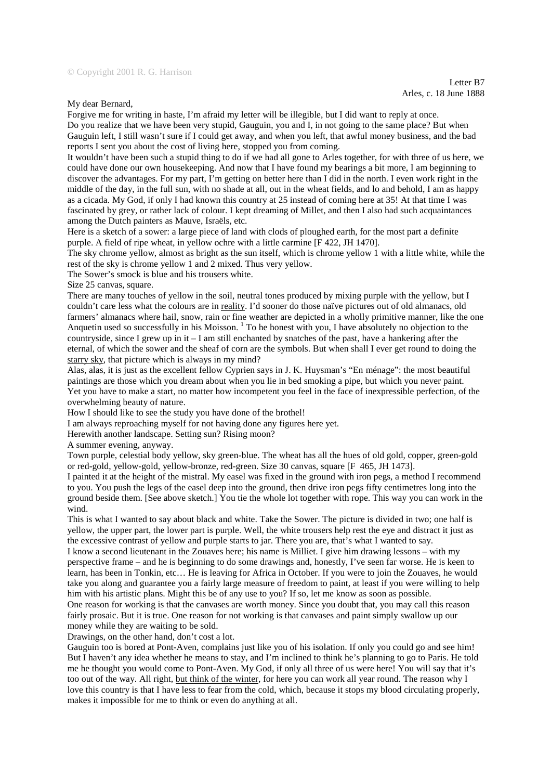Letter B7 Arles, c. 18 June 1888

My dear Bernard,

Forgive me for writing in haste, I'm afraid my letter will be illegible, but I did want to reply at once. Do you realize that we have been very stupid, Gauguin, you and I, in not going to the same place? But when Gauguin left, I still wasn't sure if I could get away, and when you left, that awful money business, and the bad reports I sent you about the cost of living here, stopped you from coming.

It wouldn't have been such a stupid thing to do if we had all gone to Arles together, for with three of us here, we could have done our own housekeeping. And now that I have found my bearings a bit more, I am beginning to discover the advantages. For my part, I'm getting on better here than I did in the north. I even work right in the middle of the day, in the full sun, with no shade at all, out in the wheat fields, and lo and behold, I am as happy as a cicada. My God, if only I had known this country at 25 instead of coming here at 35! At that time I was fascinated by grey, or rather lack of colour. I kept dreaming of Millet, and then I also had such acquaintances among the Dutch painters as Mauve, Israëls, etc.

Here is a sketch of a sower: a large piece of land with clods of ploughed earth, for the most part a definite purple. A field of ripe wheat, in yellow ochre with a little carmine [F 422, JH 1470].

The sky chrome yellow, almost as bright as the sun itself, which is chrome yellow 1 with a little white, while the rest of the sky is chrome yellow 1 and 2 mixed. Thus very yellow.

The Sower's smock is blue and his trousers white.

Size 25 canvas, square.

There are many touches of yellow in the soil, neutral tones produced by mixing purple with the yellow, but I couldn't care less what the colours are in reality. I'd sooner do those naïve pictures out of old almanacs, old farmers' almanacs where hail, snow, rain or fine weather are depicted in a wholly primitive manner, like the one Anquetin used so successfully in his Moisson. <sup>1</sup> To he honest with you, I have absolutely no objection to the countryside, since I grew up in it  $-1$  am still enchanted by snatches of the past, have a hankering after the eternal, of which the sower and the sheaf of corn are the symbols. But when shall I ever get round to doing the starry sky, that picture which is always in my mind?

Alas, alas, it is just as the excellent fellow Cyprien says in J. K. Huysman's "En ménage": the most beautiful paintings are those which you dream about when you lie in bed smoking a pipe, but which you never paint. Yet you have to make a start, no matter how incompetent you feel in the face of inexpressible perfection, of the overwhelming beauty of nature.

How I should like to see the study you have done of the brothel!

I am always reproaching myself for not having done any figures here yet.

Herewith another landscape. Setting sun? Rising moon?

A summer evening, anyway.

Town purple, celestial body yellow, sky green-blue. The wheat has all the hues of old gold, copper, green-gold or red-gold, yellow-gold, yellow-bronze, red-green. Size 30 canvas, square [F 465, JH 1473].

I painted it at the height of the mistral. My easel was fixed in the ground with iron pegs, a method I recommend to you. You push the legs of the easel deep into the ground, then drive iron pegs fifty centimetres long into the ground beside them. [See above sketch.] You tie the whole lot together with rope. This way you can work in the wind.

This is what I wanted to say about black and white. Take the Sower. The picture is divided in two; one half is yellow, the upper part, the lower part is purple. Well, the white trousers help rest the eye and distract it just as the excessive contrast of yellow and purple starts to jar. There you are, that's what I wanted to say. I know a second lieutenant in the Zouaves here; his name is Milliet. I give him drawing lessons – with my

perspective frame – and he is beginning to do some drawings and, honestly, I've seen far worse. He is keen to learn, has been in Tonkin, etc… He is leaving for Africa in October. If you were to join the Zouaves, he would take you along and guarantee you a fairly large measure of freedom to paint, at least if you were willing to help him with his artistic plans. Might this be of any use to you? If so, let me know as soon as possible. One reason for working is that the canvases are worth money. Since you doubt that, you may call this reason

fairly prosaic. But it is true. One reason for not working is that canvases and paint simply swallow up our money while they are waiting to be sold.

Drawings, on the other hand, don't cost a lot.

Gauguin too is bored at Pont-Aven, complains just like you of his isolation. If only you could go and see him! But I haven't any idea whether he means to stay, and I'm inclined to think he's planning to go to Paris. He told me he thought you would come to Pont-Aven. My God, if only all three of us were here! You will say that it's too out of the way. All right, but think of the winter, for here you can work all year round. The reason why I love this country is that I have less to fear from the cold, which, because it stops my blood circulating properly, makes it impossible for me to think or even do anything at all.